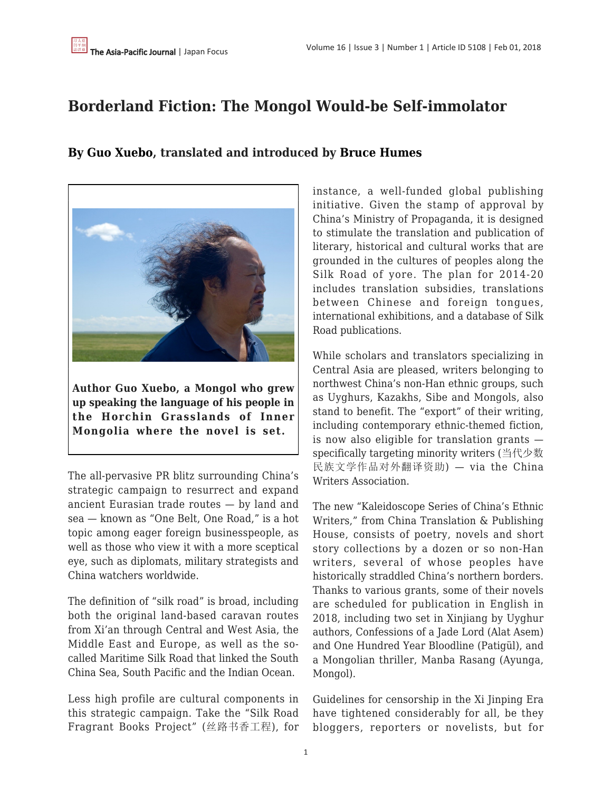# **Borderland Fiction: The Mongol Would-be Self-immolator**

**[By Guo Xuebo](https://apjjf.org/authors/view/14803), translated and introduced by [Bruce Humes](https://apjjf.org/authors/view/14804)**



**Author Guo Xuebo, a Mongol who grew up speaking the language of his people in the Horchin Grasslands of Inner Mongolia where the novel is set.**

The all-pervasive PR blitz surrounding China's strategic campaign to resurrect and expand ancient Eurasian trade routes — by land and sea — known as "One Belt, One Road," is a hot topic among eager foreign businesspeople, as well as those who view it with a more sceptical eye, such as diplomats, military strategists and China watchers worldwide.

The definition of "silk road" is broad, including both the original land-based caravan routes from Xi'an through Central and West Asia, the Middle East and Europe, as well as the socalled Maritime Silk Road that linked the South China Sea, South Pacific and the Indian Ocean.

Less high profile are cultural components in this strategic campaign. Take the "Silk Road Fragrant Books Project" (丝路书香工程), for instance, a well-funded global publishing initiative. Given the stamp of approval by China's Ministry of Propaganda, it is designed to stimulate the translation and publication of literary, historical and cultural works that are grounded in the cultures of peoples along the Silk Road of yore. The plan for 2014-20 includes translation subsidies, translations between Chinese and foreign tongues, international exhibitions, and a database of Silk Road publications.

While scholars and translators specializing in Central Asia are pleased, writers belonging to northwest China's non-Han ethnic groups, such as Uyghurs, Kazakhs, Sibe and Mongols, also stand to benefit. The "export" of their writing, including contemporary ethnic-themed fiction, is now also eligible for translation grants specifically targeting minority writers (当代少数 民族文学作品对外翻译资助) — via the China Writers Association.

The new "Kaleidoscope Series of China's Ethnic Writers," from China Translation & Publishing House, consists of poetry, novels and short story collections by a dozen or so non-Han writers, several of whose peoples have historically straddled China's northern borders. Thanks to various grants, some of their novels are scheduled for publication in English in 2018, including two set in Xinjiang by Uyghur authors, Confessions of a Jade Lord (Alat Asem) and One Hundred Year Bloodline (Patigül), and a Mongolian thriller, Manba Rasang (Ayunga, Mongol).

Guidelines for censorship in the Xi Jinping Era have tightened considerably for all, be they bloggers, reporters or novelists, but for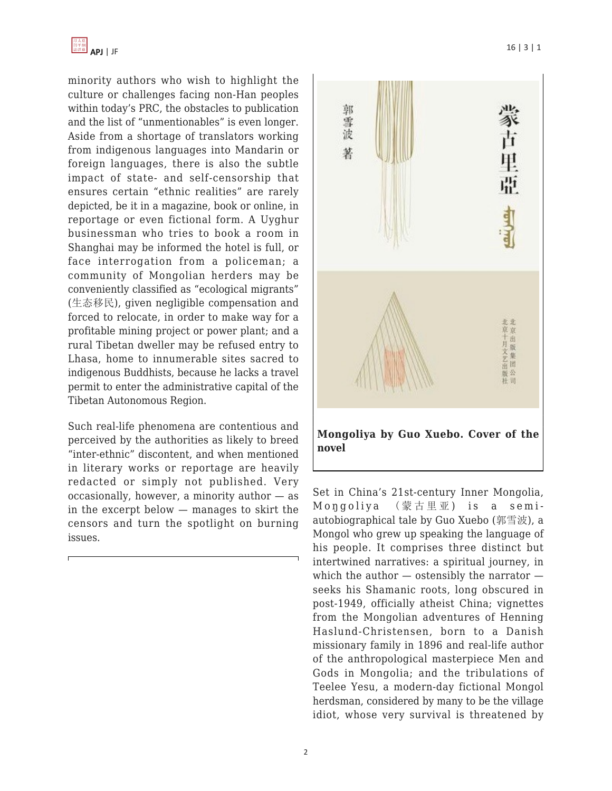

minority authors who wish to highlight the culture or challenges facing non-Han peoples within today's PRC, the obstacles to publication and the list of "unmentionables" is even longer. Aside from a shortage of translators working from indigenous languages into Mandarin or foreign languages, there is also the subtle impact of state- and self-censorship that ensures certain "ethnic realities" are rarely depicted, be it in a magazine, book or online, in reportage or even fictional form. A Uyghur businessman who tries to book a room in Shanghai may be informed the hotel is full, or face interrogation from a policeman; a community of Mongolian herders may be conveniently classified as "ecological migrants" (生态移民), given negligible compensation and forced to relocate, in order to make way for a profitable mining project or power plant; and a rural Tibetan dweller may be refused entry to Lhasa, home to innumerable sites sacred to indigenous Buddhists, because he lacks a travel permit to enter the administrative capital of the Tibetan Autonomous Region.

Such real-life phenomena are contentious and perceived by the authorities as likely to breed "inter-ethnic" discontent, and when mentioned in literary works or reportage are heavily redacted or simply not published. Very occasionally, however, a minority author — as in the excerpt below — manages to skirt the censors and turn the spotlight on burning issues.



Set in China's 21st-century Inner Mongolia, Mongoliya (蒙古里亚) is a semiautobiographical tale by Guo Xuebo (郭雪波), a Mongol who grew up speaking the language of his people. It comprises three distinct but intertwined narratives: a spiritual journey, in which the author  $-$  ostensibly the narrator  $$ seeks his Shamanic roots, long obscured in post-1949, officially atheist China; vignettes from the Mongolian adventures of Henning Haslund-Christensen, born to a Danish missionary family in 1896 and real-life author of the anthropological masterpiece Men and Gods in Mongolia; and the tribulations of Teelee Yesu, a modern-day fictional Mongol herdsman, considered by many to be the village idiot, whose very survival is threatened by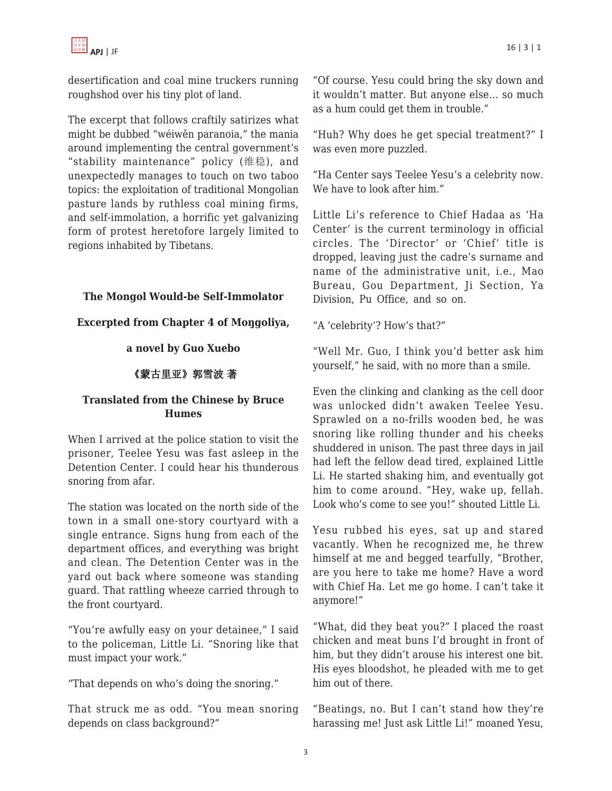

desertification and coal mine truckers running roughshod over his tiny plot of land.

The excerpt that follows craftily satirizes what might be dubbed "wéiwěn paranoia," the mania around implementing the central government's "stability maintenance" policy (维稳), and unexpectedly manages to touch on two taboo topics: the exploitation of traditional Mongolian pasture lands by ruthless coal mining firms, and self-immolation, a horrific yet galvanizing form of protest heretofore largely limited to regions inhabited by Tibetans.

#### **The Mongol Would-be Self-Immolator**

#### **Excerpted from Chapter 4 of Moŋgoliya,**

#### **a novel by Guo Xuebo**

### 《蒙古里亚》郭雪波 著

#### **Translated from the Chinese by Bruce Humes**

When I arrived at the police station to visit the prisoner, Teelee Yesu was fast asleep in the Detention Center. I could hear his thunderous snoring from afar.

The station was located on the north side of the town in a small one-story courtyard with a single entrance. Signs hung from each of the department offices, and everything was bright and clean. The Detention Center was in the yard out back where someone was standing guard. That rattling wheeze carried through to the front courtyard.

"You're awfully easy on your detainee," I said to the policeman, Little Li. "Snoring like that must impact your work."

"That depends on who's doing the snoring."

That struck me as odd. "You mean snoring depends on class background?"

"Of course. Yesu could bring the sky down and it wouldn't matter. But anyone else… so much as a hum could get them in trouble."

"Huh? Why does he get special treatment?" I was even more puzzled.

"Ha Center says Teelee Yesu's a celebrity now. We have to look after him."

Little Li's reference to Chief Hadaa as 'Ha Center' is the current terminology in official circles. The 'Director' or 'Chief' title is dropped, leaving just the cadre's surname and name of the administrative unit, i.e., Mao Bureau, Gou Department, Ji Section, Ya Division, Pu Office, and so on.

"A 'celebrity'? How's that?"

"Well Mr. Guo, I think you'd better ask him yourself," he said, with no more than a smile.

Even the clinking and clanking as the cell door was unlocked didn't awaken Teelee Yesu. Sprawled on a no-frills wooden bed, he was snoring like rolling thunder and his cheeks shuddered in unison. The past three days in jail had left the fellow dead tired, explained Little Li. He started shaking him, and eventually got him to come around. "Hey, wake up, fellah. Look who's come to see you!" shouted Little Li.

Yesu rubbed his eyes, sat up and stared vacantly. When he recognized me, he threw himself at me and begged tearfully, "Brother, are you here to take me home? Have a word with Chief Ha. Let me go home. I can't take it anymore!"

"What, did they beat you?" I placed the roast chicken and meat buns I'd brought in front of him, but they didn't arouse his interest one bit. His eyes bloodshot, he pleaded with me to get him out of there.

"Beatings, no. But I can't stand how they're harassing me! Just ask Little Li!" moaned Yesu,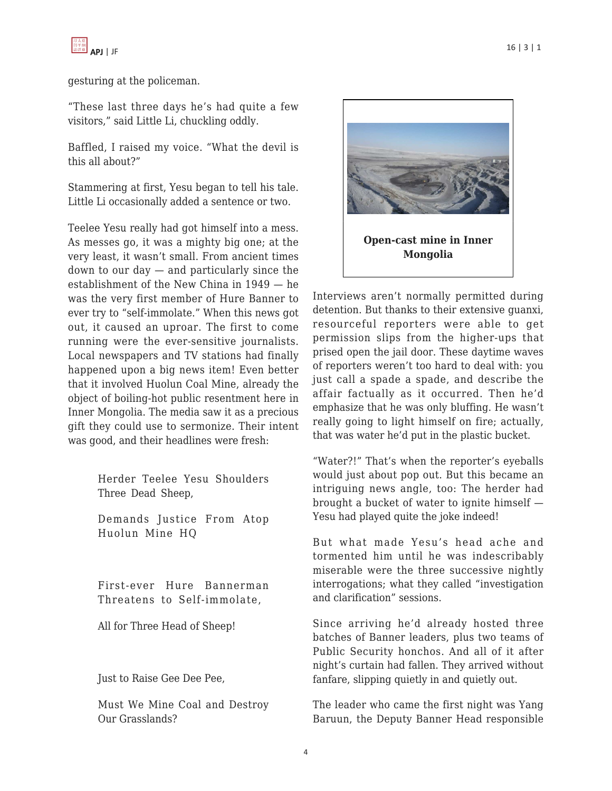gesturing at the policeman.

"These last three days he's had quite a few visitors," said Little Li, chuckling oddly.

Baffled, I raised my voice. "What the devil is this all about?"

Stammering at first, Yesu began to tell his tale. Little Li occasionally added a sentence or two.

Teelee Yesu really had got himself into a mess. As messes go, it was a mighty big one; at the very least, it wasn't small. From ancient times down to our day — and particularly since the establishment of the New China in 1949 — he was the very first member of Hure Banner to ever try to "self-immolate." When this news got out, it caused an uproar. The first to come running were the ever-sensitive journalists. Local newspapers and TV stations had finally happened upon a big news item! Even better that it involved Huolun Coal Mine, already the object of boiling-hot public resentment here in Inner Mongolia. The media saw it as a precious gift they could use to sermonize. Their intent was good, and their headlines were fresh:

> Herder Teelee Yesu Shoulders Three Dead Sheep,

> Demands Justice From Atop Huolun Mine HQ

> First-ever Hure Bannerman Threatens to Self-immolate,

All for Three Head of Sheep!

Just to Raise Gee Dee Pee,

Must We Mine Coal and Destroy Our Grasslands?



Interviews aren't normally permitted during detention. But thanks to their extensive guanxi, resourceful reporters were able to get permission slips from the higher-ups that prised open the jail door. These daytime waves of reporters weren't too hard to deal with: you just call a spade a spade, and describe the affair factually as it occurred. Then he'd emphasize that he was only bluffing. He wasn't really going to light himself on fire; actually, that was water he'd put in the plastic bucket.

"Water?!" That's when the reporter's eyeballs would just about pop out. But this became an intriguing news angle, too: The herder had brought a bucket of water to ignite himself — Yesu had played quite the joke indeed!

But what made Yesu's head ache and tormented him until he was indescribably miserable were the three successive nightly interrogations; what they called "investigation and clarification" sessions.

Since arriving he'd already hosted three batches of Banner leaders, plus two teams of Public Security honchos. And all of it after night's curtain had fallen. They arrived without fanfare, slipping quietly in and quietly out.

The leader who came the first night was Yang Baruun, the Deputy Banner Head responsible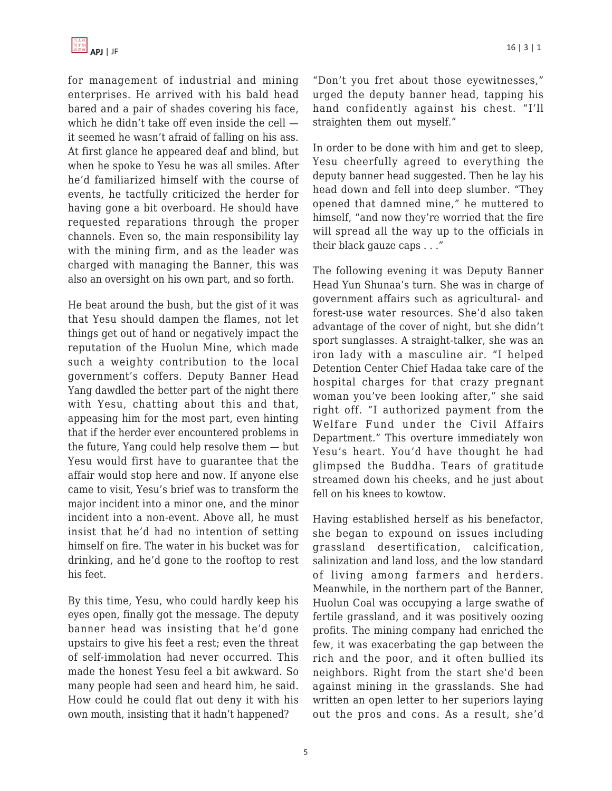

for management of industrial and mining enterprises. He arrived with his bald head bared and a pair of shades covering his face, which he didn't take off even inside the cell it seemed he wasn't afraid of falling on his ass. At first glance he appeared deaf and blind, but when he spoke to Yesu he was all smiles. After he'd familiarized himself with the course of events, he tactfully criticized the herder for having gone a bit overboard. He should have requested reparations through the proper channels. Even so, the main responsibility lay with the mining firm, and as the leader was charged with managing the Banner, this was also an oversight on his own part, and so forth.

He beat around the bush, but the gist of it was that Yesu should dampen the flames, not let things get out of hand or negatively impact the reputation of the Huolun Mine, which made such a weighty contribution to the local government's coffers. Deputy Banner Head Yang dawdled the better part of the night there with Yesu, chatting about this and that, appeasing him for the most part, even hinting that if the herder ever encountered problems in the future, Yang could help resolve them — but Yesu would first have to guarantee that the affair would stop here and now. If anyone else came to visit, Yesu's brief was to transform the major incident into a minor one, and the minor incident into a non-event. Above all, he must insist that he'd had no intention of setting himself on fire. The water in his bucket was for drinking, and he'd gone to the rooftop to rest his feet.

By this time, Yesu, who could hardly keep his eyes open, finally got the message. The deputy banner head was insisting that he'd gone upstairs to give his feet a rest; even the threat of self-immolation had never occurred. This made the honest Yesu feel a bit awkward. So many people had seen and heard him, he said. How could he could flat out deny it with his own mouth, insisting that it hadn't happened?

"Don't you fret about those eyewitnesses," urged the deputy banner head, tapping his hand confidently against his chest. "I'll straighten them out myself."

In order to be done with him and get to sleep, Yesu cheerfully agreed to everything the deputy banner head suggested. Then he lay his head down and fell into deep slumber. "They opened that damned mine," he muttered to himself, "and now they're worried that the fire will spread all the way up to the officials in their black gauze caps . . ."

The following evening it was Deputy Banner Head Yun Shunaa's turn. She was in charge of government affairs such as agricultural- and forest-use water resources. She'd also taken advantage of the cover of night, but she didn't sport sunglasses. A straight-talker, she was an iron lady with a masculine air. "I helped Detention Center Chief Hadaa take care of the hospital charges for that crazy pregnant woman you've been looking after," she said right off. "I authorized payment from the Welfare Fund under the Civil Affairs Department." This overture immediately won Yesu's heart. You'd have thought he had glimpsed the Buddha. Tears of gratitude streamed down his cheeks, and he just about fell on his knees to kowtow.

Having established herself as his benefactor, she began to expound on issues including grassland desertification, calcification, salinization and land loss, and the low standard of living among farmers and herders. Meanwhile, in the northern part of the Banner, Huolun Coal was occupying a large swathe of fertile grassland, and it was positively oozing profits. The mining company had enriched the few, it was exacerbating the gap between the rich and the poor, and it often bullied its neighbors. Right from the start she'd been against mining in the grasslands. She had written an open letter to her superiors laying out the pros and cons. As a result, she'd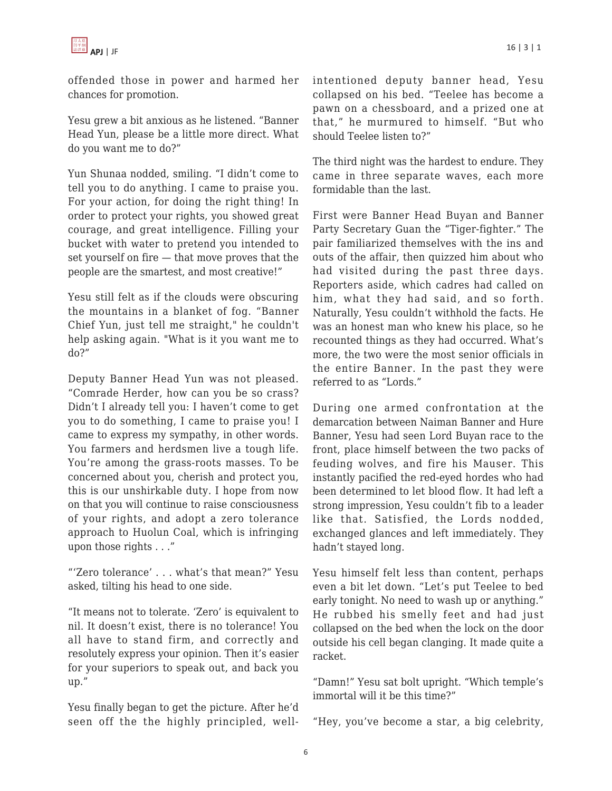

offended those in power and harmed her chances for promotion.

Yesu grew a bit anxious as he listened. "Banner Head Yun, please be a little more direct. What do you want me to do?"

Yun Shunaa nodded, smiling. "I didn't come to tell you to do anything. I came to praise you. For your action, for doing the right thing! In order to protect your rights, you showed great courage, and great intelligence. Filling your bucket with water to pretend you intended to set yourself on fire — that move proves that the people are the smartest, and most creative!"

Yesu still felt as if the clouds were obscuring the mountains in a blanket of fog. "Banner Chief Yun, just tell me straight," he couldn't help asking again. "What is it you want me to do?"

Deputy Banner Head Yun was not pleased. "Comrade Herder, how can you be so crass? Didn't I already tell you: I haven't come to get you to do something, I came to praise you! I came to express my sympathy, in other words. You farmers and herdsmen live a tough life. You're among the grass-roots masses. To be concerned about you, cherish and protect you, this is our unshirkable duty. I hope from now on that you will continue to raise consciousness of your rights, and adopt a zero tolerance approach to Huolun Coal, which is infringing upon those rights . . ."

"'Zero tolerance' . . . what's that mean?" Yesu asked, tilting his head to one side.

"It means not to tolerate. 'Zero' is equivalent to nil. It doesn't exist, there is no tolerance! You all have to stand firm, and correctly and resolutely express your opinion. Then it's easier for your superiors to speak out, and back you up."

Yesu finally began to get the picture. After he'd seen off the the highly principled, wellintentioned deputy banner head, Yesu collapsed on his bed. "Teelee has become a pawn on a chessboard, and a prized one at that," he murmured to himself. "But who should Teelee listen to?"

The third night was the hardest to endure. They came in three separate waves, each more formidable than the last.

First were Banner Head Buyan and Banner Party Secretary Guan the "Tiger-fighter." The pair familiarized themselves with the ins and outs of the affair, then quizzed him about who had visited during the past three days. Reporters aside, which cadres had called on him, what they had said, and so forth. Naturally, Yesu couldn't withhold the facts. He was an honest man who knew his place, so he recounted things as they had occurred. What's more, the two were the most senior officials in the entire Banner. In the past they were referred to as "Lords."

During one armed confrontation at the demarcation between Naiman Banner and Hure Banner, Yesu had seen Lord Buyan race to the front, place himself between the two packs of feuding wolves, and fire his Mauser. This instantly pacified the red-eyed hordes who had been determined to let blood flow. It had left a strong impression, Yesu couldn't fib to a leader like that. Satisfied, the Lords nodded, exchanged glances and left immediately. They hadn't stayed long.

Yesu himself felt less than content, perhaps even a bit let down. "Let's put Teelee to bed early tonight. No need to wash up or anything." He rubbed his smelly feet and had just collapsed on the bed when the lock on the door outside his cell began clanging. It made quite a racket.

"Damn!" Yesu sat bolt upright. "Which temple's immortal will it be this time?"

"Hey, you've become a star, a big celebrity,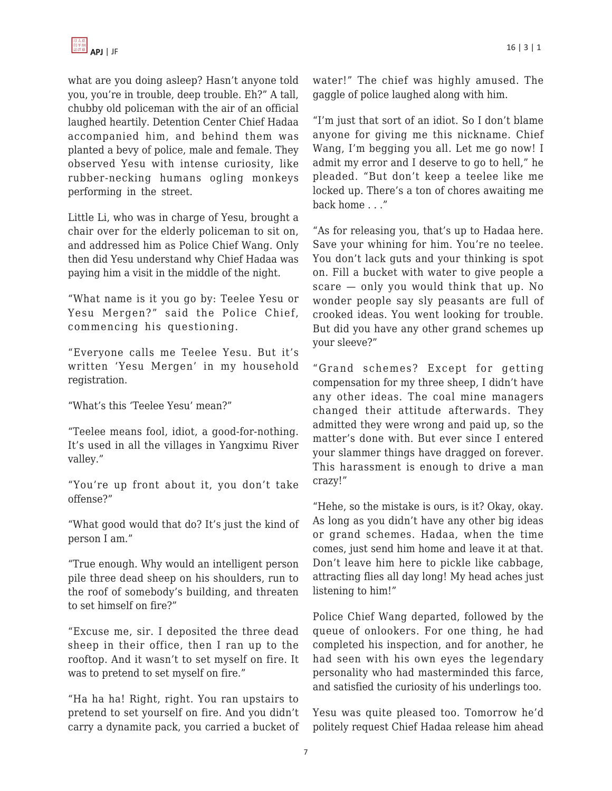

what are you doing asleep? Hasn't anyone told you, you're in trouble, deep trouble. Eh?" A tall, chubby old policeman with the air of an official laughed heartily. Detention Center Chief Hadaa accompanied him, and behind them was planted a bevy of police, male and female. They observed Yesu with intense curiosity, like rubber-necking humans ogling monkeys performing in the street.

Little Li, who was in charge of Yesu, brought a chair over for the elderly policeman to sit on, and addressed him as Police Chief Wang. Only then did Yesu understand why Chief Hadaa was paying him a visit in the middle of the night.

"What name is it you go by: Teelee Yesu or Yesu Mergen?" said the Police Chief, commencing his questioning.

"Everyone calls me Teelee Yesu. But it's written 'Yesu Mergen' in my household registration.

"What's this 'Teelee Yesu' mean?"

"Teelee means fool, idiot, a good-for-nothing. It's used in all the villages in Yangximu River valley."

"You're up front about it, you don't take offense?"

"What good would that do? It's just the kind of person I am."

"True enough. Why would an intelligent person pile three dead sheep on his shoulders, run to the roof of somebody's building, and threaten to set himself on fire?"

"Excuse me, sir. I deposited the three dead sheep in their office, then I ran up to the rooftop. And it wasn't to set myself on fire. It was to pretend to set myself on fire."

"Ha ha ha! Right, right. You ran upstairs to pretend to set yourself on fire. And you didn't carry a dynamite pack, you carried a bucket of water!" The chief was highly amused. The gaggle of police laughed along with him.

"I'm just that sort of an idiot. So I don't blame anyone for giving me this nickname. Chief Wang, I'm begging you all. Let me go now! I admit my error and I deserve to go to hell," he pleaded. "But don't keep a teelee like me locked up. There's a ton of chores awaiting me back home . . ."

"As for releasing you, that's up to Hadaa here. Save your whining for him. You're no teelee. You don't lack guts and your thinking is spot on. Fill a bucket with water to give people a scare — only you would think that up. No wonder people say sly peasants are full of crooked ideas. You went looking for trouble. But did you have any other grand schemes up your sleeve?"

"Grand schemes? Except for getting compensation for my three sheep, I didn't have any other ideas. The coal mine managers changed their attitude afterwards. They admitted they were wrong and paid up, so the matter's done with. But ever since I entered your slammer things have dragged on forever. This harassment is enough to drive a man crazy!"

"Hehe, so the mistake is ours, is it? Okay, okay. As long as you didn't have any other big ideas or grand schemes. Hadaa, when the time comes, just send him home and leave it at that. Don't leave him here to pickle like cabbage, attracting flies all day long! My head aches just listening to him!"

Police Chief Wang departed, followed by the queue of onlookers. For one thing, he had completed his inspection, and for another, he had seen with his own eyes the legendary personality who had masterminded this farce, and satisfied the curiosity of his underlings too.

Yesu was quite pleased too. Tomorrow he'd politely request Chief Hadaa release him ahead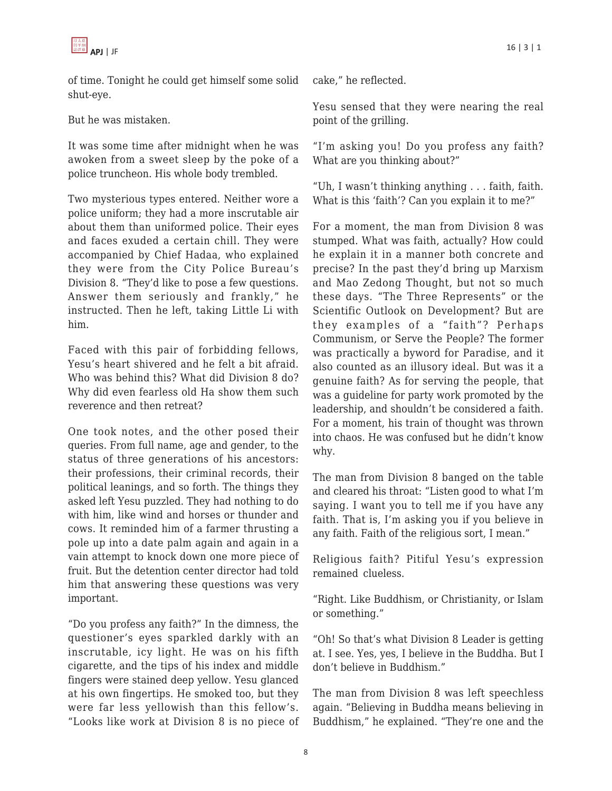of time. Tonight he could get himself some solid shut-eye.

But he was mistaken.

It was some time after midnight when he was awoken from a sweet sleep by the poke of a police truncheon. His whole body trembled.

Two mysterious types entered. Neither wore a police uniform; they had a more inscrutable air about them than uniformed police. Their eyes and faces exuded a certain chill. They were accompanied by Chief Hadaa, who explained they were from the City Police Bureau's Division 8. "They'd like to pose a few questions. Answer them seriously and frankly," he instructed. Then he left, taking Little Li with him.

Faced with this pair of forbidding fellows, Yesu's heart shivered and he felt a bit afraid. Who was behind this? What did Division 8 do? Why did even fearless old Ha show them such reverence and then retreat?

One took notes, and the other posed their queries. From full name, age and gender, to the status of three generations of his ancestors: their professions, their criminal records, their political leanings, and so forth. The things they asked left Yesu puzzled. They had nothing to do with him, like wind and horses or thunder and cows. It reminded him of a farmer thrusting a pole up into a date palm again and again in a vain attempt to knock down one more piece of fruit. But the detention center director had told him that answering these questions was very important.

"Do you profess any faith?" In the dimness, the questioner's eyes sparkled darkly with an inscrutable, icy light. He was on his fifth cigarette, and the tips of his index and middle fingers were stained deep yellow. Yesu glanced at his own fingertips. He smoked too, but they were far less yellowish than this fellow's. "Looks like work at Division 8 is no piece of cake," he reflected.

Yesu sensed that they were nearing the real point of the grilling.

"I'm asking you! Do you profess any faith? What are you thinking about?"

"Uh, I wasn't thinking anything . . . faith, faith. What is this 'faith'? Can you explain it to me?"

For a moment, the man from Division 8 was stumped. What was faith, actually? How could he explain it in a manner both concrete and precise? In the past they'd bring up Marxism and Mao Zedong Thought, but not so much these days. "The Three Represents" or the Scientific Outlook on Development? But are they examples of a "faith"? Perhaps Communism, or Serve the People? The former was practically a byword for Paradise, and it also counted as an illusory ideal. But was it a genuine faith? As for serving the people, that was a guideline for party work promoted by the leadership, and shouldn't be considered a faith. For a moment, his train of thought was thrown into chaos. He was confused but he didn't know why.

The man from Division 8 banged on the table and cleared his throat: "Listen good to what I'm saying. I want you to tell me if you have any faith. That is, I'm asking you if you believe in any faith. Faith of the religious sort, I mean."

Religious faith? Pitiful Yesu's expression remained clueless.

"Right. Like Buddhism, or Christianity, or Islam or something."

"Oh! So that's what Division 8 Leader is getting at. I see. Yes, yes, I believe in the Buddha. But I don't believe in Buddhism."

The man from Division 8 was left speechless again. "Believing in Buddha means believing in Buddhism," he explained. "They're one and the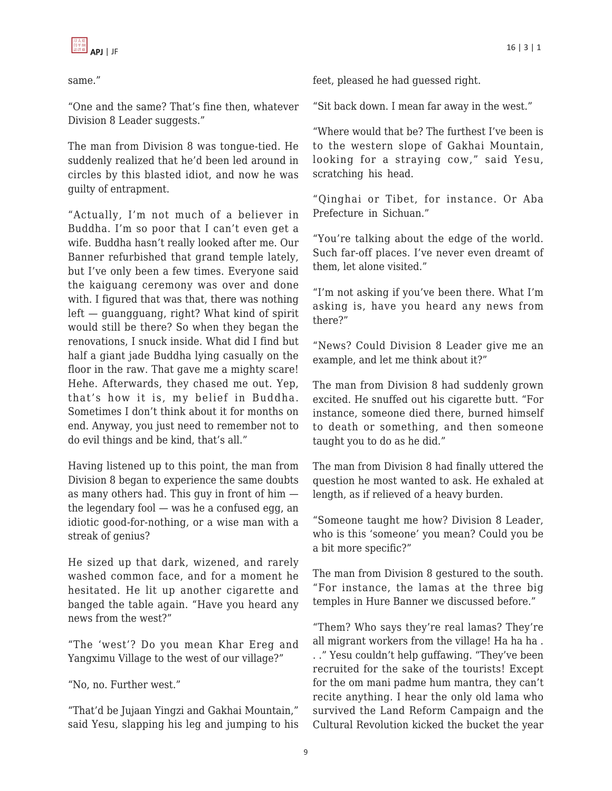

same."

"One and the same? That's fine then, whatever Division 8 Leader suggests."

The man from Division 8 was tongue-tied. He suddenly realized that he'd been led around in circles by this blasted idiot, and now he was guilty of entrapment.

"Actually, I'm not much of a believer in Buddha. I'm so poor that I can't even get a wife. Buddha hasn't really looked after me. Our Banner refurbished that grand temple lately, but I've only been a few times. Everyone said the kaiguang ceremony was over and done with. I figured that was that, there was nothing left — guangguang, right? What kind of spirit would still be there? So when they began the renovations, I snuck inside. What did I find but half a giant jade Buddha lying casually on the floor in the raw. That gave me a mighty scare! Hehe. Afterwards, they chased me out. Yep, that's how it is, my belief in Buddha. Sometimes I don't think about it for months on end. Anyway, you just need to remember not to do evil things and be kind, that's all."

Having listened up to this point, the man from Division 8 began to experience the same doubts as many others had. This guy in front of him the legendary fool — was he a confused egg, an idiotic good-for-nothing, or a wise man with a streak of genius?

He sized up that dark, wizened, and rarely washed common face, and for a moment he hesitated. He lit up another cigarette and banged the table again. "Have you heard any news from the west?"

"The 'west'? Do you mean Khar Ereg and Yangximu Village to the west of our village?"

"No, no. Further west."

"That'd be Jujaan Yingzi and Gakhai Mountain," said Yesu, slapping his leg and jumping to his feet, pleased he had guessed right.

"Sit back down. I mean far away in the west."

"Where would that be? The furthest I've been is to the western slope of Gakhai Mountain, looking for a straying cow," said Yesu, scratching his head.

"Qinghai or Tibet, for instance. Or Aba Prefecture in Sichuan."

"You're talking about the edge of the world. Such far-off places. I've never even dreamt of them, let alone visited."

"I'm not asking if you've been there. What I'm asking is, have you heard any news from there?"

"News? Could Division 8 Leader give me an example, and let me think about it?"

The man from Division 8 had suddenly grown excited. He snuffed out his cigarette butt. "For instance, someone died there, burned himself to death or something, and then someone taught you to do as he did."

The man from Division 8 had finally uttered the question he most wanted to ask. He exhaled at length, as if relieved of a heavy burden.

"Someone taught me how? Division 8 Leader, who is this 'someone' you mean? Could you be a bit more specific?"

The man from Division 8 gestured to the south. "For instance, the lamas at the three big temples in Hure Banner we discussed before."

"Them? Who says they're real lamas? They're all migrant workers from the village! Ha ha ha . . ." Yesu couldn't help guffawing. "They've been recruited for the sake of the tourists! Except for the om mani padme hum mantra, they can't recite anything. I hear the only old lama who survived the Land Reform Campaign and the Cultural Revolution kicked the bucket the year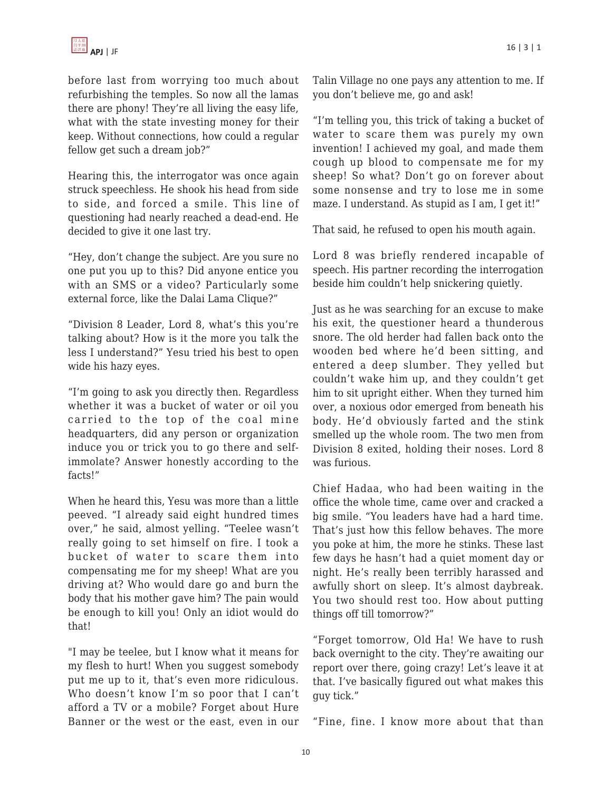before last from worrying too much about refurbishing the temples. So now all the lamas there are phony! They're all living the easy life, what with the state investing money for their keep. Without connections, how could a regular fellow get such a dream job?"

Hearing this, the interrogator was once again struck speechless. He shook his head from side to side, and forced a smile. This line of questioning had nearly reached a dead-end. He decided to give it one last try.

"Hey, don't change the subject. Are you sure no one put you up to this? Did anyone entice you with an SMS or a video? Particularly some external force, like the Dalai Lama Clique?"

"Division 8 Leader, Lord 8, what's this you're talking about? How is it the more you talk the less I understand?" Yesu tried his best to open wide his hazy eyes.

"I'm going to ask you directly then. Regardless whether it was a bucket of water or oil you carried to the top of the coal mine headquarters, did any person or organization induce you or trick you to go there and selfimmolate? Answer honestly according to the facts!"

When he heard this, Yesu was more than a little peeved. "I already said eight hundred times over," he said, almost yelling. "Teelee wasn't really going to set himself on fire. I took a bucket of water to scare them into compensating me for my sheep! What are you driving at? Who would dare go and burn the body that his mother gave him? The pain would be enough to kill you! Only an idiot would do that!

"I may be teelee, but I know what it means for my flesh to hurt! When you suggest somebody put me up to it, that's even more ridiculous. Who doesn't know I'm so poor that I can't afford a TV or a mobile? Forget about Hure Banner or the west or the east, even in our Talin Village no one pays any attention to me. If you don't believe me, go and ask!

"I'm telling you, this trick of taking a bucket of water to scare them was purely my own invention! I achieved my goal, and made them cough up blood to compensate me for my sheep! So what? Don't go on forever about some nonsense and try to lose me in some maze. I understand. As stupid as I am, I get it!"

That said, he refused to open his mouth again.

Lord 8 was briefly rendered incapable of speech. His partner recording the interrogation beside him couldn't help snickering quietly.

Just as he was searching for an excuse to make his exit, the questioner heard a thunderous snore. The old herder had fallen back onto the wooden bed where he'd been sitting, and entered a deep slumber. They yelled but couldn't wake him up, and they couldn't get him to sit upright either. When they turned him over, a noxious odor emerged from beneath his body. He'd obviously farted and the stink smelled up the whole room. The two men from Division 8 exited, holding their noses. Lord 8 was furious.

Chief Hadaa, who had been waiting in the office the whole time, came over and cracked a big smile. "You leaders have had a hard time. That's just how this fellow behaves. The more you poke at him, the more he stinks. These last few days he hasn't had a quiet moment day or night. He's really been terribly harassed and awfully short on sleep. It's almost daybreak. You two should rest too. How about putting things off till tomorrow?"

"Forget tomorrow, Old Ha! We have to rush back overnight to the city. They're awaiting our report over there, going crazy! Let's leave it at that. I've basically figured out what makes this guy tick."

"Fine, fine. I know more about that than